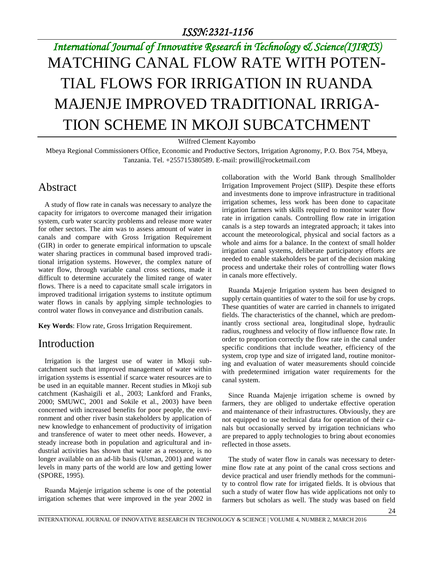# *International Journal of Innovative Research in Technology & Science(IJIRTS)* MATCHING CANAL FLOW RATE WITH POTEN-TIAL FLOWS FOR IRRIGATION IN RUANDA MAJENJE IMPROVED TRADITIONAL IRRIGA-TION SCHEME IN MKOJI SUBCATCHMENT

Wilfred Clement Kayombo

Mbeya Regional Commissioners Office, Economic and Productive Sectors, Irrigation Agronomy, P.O. Box 754, Mbeya, Tanzania. Tel. +255715380589. E-mail: prowill@rocketmail.com

## Abstract

A study of flow rate in canals was necessary to analyze the capacity for irrigators to overcome managed their irrigation system, curb water scarcity problems and release more water for other sectors. The aim was to assess amount of water in canals and compare with Gross Irrigation Requirement (GIR) in order to generate empirical information to upscale water sharing practices in communal based improved traditional irrigation systems. However, the complex nature of water flow, through variable canal cross sections, made it difficult to determine accurately the limited range of water flows. There is a need to capacitate small scale irrigators in improved traditional irrigation systems to institute optimum water flows in canals by applying simple technologies to control water flows in conveyance and distribution canals.

**Key Words**: Flow rate, Gross Irrigation Requirement.

## Introduction

Irrigation is the largest use of water in Mkoji subcatchment such that improved management of water within irrigation systems is essential if scarce water resources are to be used in an equitable manner. Recent studies in Mkoji sub catchment (Kashaigili et al., 2003; Lankford and Franks, 2000; SMUWC, 2001 and Sokile et al., 2003) have been concerned with increased benefits for poor people, the environment and other river basin stakeholders by application of new knowledge to enhancement of productivity of irrigation and transference of water to meet other needs. However, a steady increase both in population and agricultural and industrial activities has shown that water as a resource, is no longer available on an ad-lib basis (Usman, 2001) and water levels in many parts of the world are low and getting lower (SPORE, 1995).

Ruanda Majenje irrigation scheme is one of the potential irrigation schemes that were improved in the year 2002 in collaboration with the World Bank through Smallholder Irrigation Improvement Project (SIIP). Despite these efforts and investments done to improve infrastructure in traditional irrigation schemes, less work has been done to capacitate irrigation farmers with skills required to monitor water flow rate in irrigation canals. Controlling flow rate in irrigation canals is a step towards an integrated approach; it takes into account the meteorological, physical and social factors as a whole and aims for a balance. In the context of small holder irrigation canal systems, deliberate participatory efforts are needed to enable stakeholders be part of the decision making process and undertake their roles of controlling water flows in canals more effectively.

Ruanda Majenje Irrigation system has been designed to supply certain quantities of water to the soil for use by crops. These quantities of water are carried in channels to irrigated fields. The characteristics of the channel, which are predominantly cross sectional area, longitudinal slope, hydraulic radius, roughness and velocity of flow influence flow rate. In order to proportion correctly the flow rate in the canal under specific conditions that include weather, efficiency of the system, crop type and size of irrigated land, routine monitoring and evaluation of water measurements should coincide with predetermined irrigation water requirements for the canal system.

Since Ruanda Majenje irrigation scheme is owned by farmers, they are obliged to undertake effective operation and maintenance of their infrastructures. Obviously, they are not equipped to use technical data for operation of their canals but occasionally served by irrigation technicians who are prepared to apply technologies to bring about economies reflected in those assets.

The study of water flow in canals was necessary to determine flow rate at any point of the canal cross sections and device practical and user friendly methods for the community to control flow rate for irrigated fields. It is obvious that such a study of water flow has wide applications not only to farmers but scholars as well. The study was based on field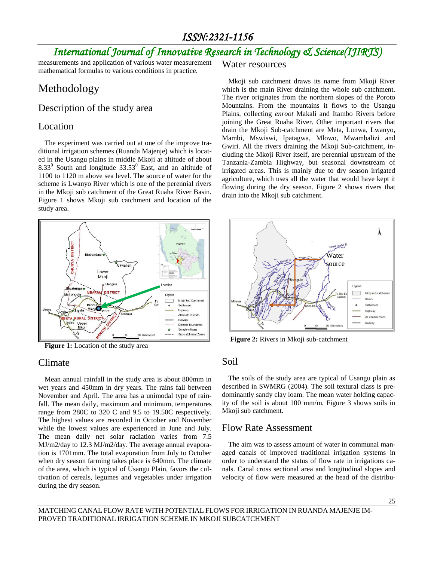# *International Journal of Innovative Research in Technology & Science(IJIRTS)*

measurements and application of various water measurement mathematical formulas to various conditions in practice.

# Methodology

## Description of the study area

## Location

The experiment was carried out at one of the improve traditional irrigation schemes (Ruanda Majenje) which is located in the Usangu plains in middle Mkoji at altitude of about  $8.33<sup>0</sup>$  South and longitude  $33.53<sup>0</sup>$  East, and an altitude of 1100 to 1120 m above sea level. The source of water for the scheme is Lwanyo River which is one of the perennial rivers in the Mkoji sub catchment of the Great Ruaha River Basin. Figure 1 shows Mkoji sub catchment and location of the study area.



**Figure 1:** Location of the study area

### Climate

Mean annual rainfall in the study area is about 800mm in wet years and 450mm in dry years. The rains fall between November and April. The area has a unimodal type of rainfall. The mean daily, maximum and minimum, temperatures range from 280C to 320 C and 9.5 to 19.50C respectively. The highest values are recorded in October and November while the lowest values are experienced in June and July. The mean daily net solar radiation varies from 7.5 MJ/m2/day to 12.3 MJ/m2/day. The average annual evaporation is 1701mm. The total evaporation from July to October when dry season farming takes place is 640mm. The climate of the area, which is typical of Usangu Plain, favors the cultivation of cereals, legumes and vegetables under irrigation during the dry season.

#### Water resources

Mkoji sub catchment draws its name from Mkoji River which is the main River draining the whole sub catchment. The river originates from the northern slopes of the Poroto Mountains. From the mountains it flows to the Usangu Plains, collecting *enroot* Makali and Itambo Rivers before joining the Great Ruaha River. Other important rivers that drain the Mkoji Sub-catchment are Meta, Lunwa, Lwanyo, Mambi, Mswiswi, Ipatagwa, Mlowo, Mwambalizi and Gwiri. All the rivers draining the Mkoji Sub-catchment, including the Mkoji River itself, are perennial upstream of the Tanzania-Zambia Highway, but seasonal downstream of irrigated areas. This is mainly due to dry season irrigated agriculture, which uses all the water that would have kept it flowing during the dry season. Figure 2 shows rivers that drain into the Mkoji sub catchment.



**Figure 2:** Rivers in Mkoji sub-catchment

#### Soil

The soils of the study area are typical of Usangu plain as described in SWMRG (2004). The soil textural class is predominantly sandy clay loam. The mean water holding capacity of the soil is about 100 mm/m. Figure 3 shows soils in Mkoji sub catchment.

### Flow Rate Assessment

The aim was to assess amount of water in communal managed canals of improved traditional irrigation systems in order to understand the status of flow rate in irrigations canals. Canal cross sectional area and longitudinal slopes and velocity of flow were measured at the head of the distribu-

MATCHING CANAL FLOW RATE WITH POTENTIAL FLOWS FOR IRRIGATION IN RUANDA MAJENJE IM-PROVED TRADITIONAL IRRIGATION SCHEME IN MKOJI SUBCATCHMENT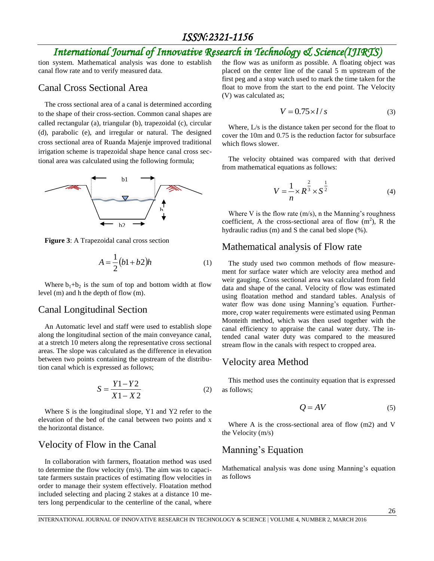# *International Journal of Innovative Research in Technology & Science(IJIRTS)*

tion system. Mathematical analysis was done to establish canal flow rate and to verify measured data.

### Canal Cross Sectional Area

The cross sectional area of a canal is determined according to the shape of their cross-section. Common canal shapes are called rectangular (a), triangular (b), trapezoidal (c), circular (d), parabolic (e), and irregular or natural. The designed cross sectional area of Ruanda Majenje improved traditional irrigation scheme is trapezoidal shape hence canal cross sectional area was calculated using the following formula;



**Figure 3**: A Trapezoidal canal cross section

$$
A = \frac{1}{2}(b1 + b2)h\tag{1}
$$

Where  $b_1+b_2$  is the sum of top and bottom width at flow level (m) and h the depth of flow (m).

#### Canal Longitudinal Section

An Automatic level and staff were used to establish slope along the longitudinal section of the main conveyance canal, at a stretch 10 meters along the representative cross sectional areas. The slope was calculated as the difference in elevation between two points containing the upstream of the distribution canal which is expressed as follows;

$$
S = \frac{Y1 - Y2}{X1 - X2} \tag{2}
$$

Where S is the longitudinal slope, Y1 and Y2 refer to the elevation of the bed of the canal between two points and x the horizontal distance.

#### Velocity of Flow in the Canal

In collaboration with farmers, floatation method was used to determine the flow velocity (m/s). The aim was to capacitate farmers sustain practices of estimating flow velocities in order to manage their system effectively. Floatation method included selecting and placing 2 stakes at a distance 10 meters long perpendicular to the centerline of the canal, where the flow was as uniform as possible. A floating object was placed on the center line of the canal 5 m upstream of the first peg and a stop watch used to mark the time taken for the float to move from the start to the end point. The Velocity (V) was calculated as;

$$
V = 0.75 \times l/s \tag{3}
$$

Where, L/s is the distance taken per second for the float to cover the 10m and 0.75 is the reduction factor for subsurface which flows slower.

The velocity obtained was compared with that derived from mathematical equations as follows:

$$
V = \frac{1}{n} \times R^{\frac{2}{3}} \times S^{\frac{1}{2}}
$$
 (4)

Where V is the flow rate  $(m/s)$ , n the Manning's roughness coefficient, A the cross-sectional area of flow  $(m^2)$ , R the hydraulic radius (m) and S the canal bed slope (%).

#### Mathematical analysis of Flow rate

The study used two common methods of flow measurement for surface water which are velocity area method and weir gauging. Cross sectional area was calculated from field data and shape of the canal. Velocity of flow was estimated using floatation method and standard tables. Analysis of water flow was done using Manning's equation. Furthermore, crop water requirements were estimated using Penman Monteith method, which was then used together with the canal efficiency to appraise the canal water duty. The intended canal water duty was compared to the measured stream flow in the canals with respect to cropped area.

#### Velocity area Method

This method uses the continuity equation that is expressed as follows;

$$
Q = AV \tag{5}
$$

Where A is the cross-sectional area of flow (m2) and V the Velocity (m/s)

## Manning's Equation

Mathematical analysis was done using Manning's equation as follows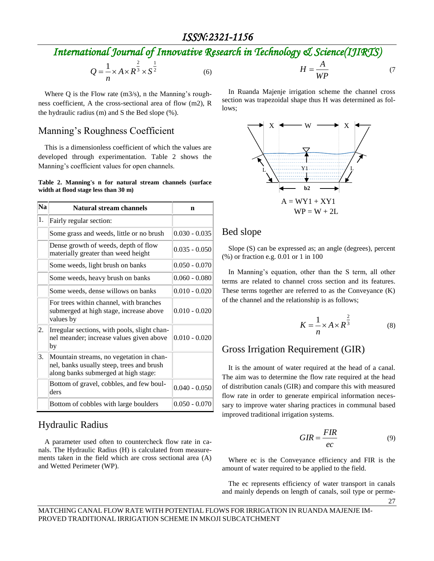# *International Journal of Innovative Research in Technology & Science(IJIRTS)*

$$
Q = \frac{1}{n} \times A \times R^{\frac{2}{3}} \times S^{\frac{1}{2}}
$$
 (6)

Where  $Q$  is the Flow rate  $(m3/s)$ , n the Manning's roughness coefficient, A the cross-sectional area of flow (m2), R the hydraulic radius (m) and S the Bed slope (%).

### Manning's Roughness Coefficient

This is a dimensionless coefficient of which the values are developed through experimentation. Table 2 shows the Manning's coefficient values for open channels.

#### **Table 2. Manning's n for natural stream channels (surface width at flood stage less than 30 m)**

| <b>Na</b> | <b>Natural stream channels</b>                                                                                                | n               |  |  |
|-----------|-------------------------------------------------------------------------------------------------------------------------------|-----------------|--|--|
| 1.        | Fairly regular section:                                                                                                       |                 |  |  |
|           | Some grass and weeds, little or no brush                                                                                      | $0.030 - 0.035$ |  |  |
|           | Dense growth of weeds, depth of flow<br>materially greater than weed height                                                   | $0.035 - 0.050$ |  |  |
|           | Some weeds, light brush on banks                                                                                              | $0.050 - 0.070$ |  |  |
|           | Some weeds, heavy brush on banks                                                                                              | $0.060 - 0.080$ |  |  |
|           | Some weeds, dense willows on banks                                                                                            | $0.010 - 0.020$ |  |  |
|           | For trees within channel, with branches<br>submerged at high stage, increase above<br>values by                               | $0.010 - 0.020$ |  |  |
| 2.        | Irregular sections, with pools, slight chan-<br>nel meander; increase values given above<br>by                                | $0.010 - 0.020$ |  |  |
| 3.        | Mountain streams, no vegetation in chan-<br>nel, banks usually steep, trees and brush<br>along banks submerged at high stage: |                 |  |  |
|           | Bottom of gravel, cobbles, and few boul-<br>ders                                                                              | $0.040 - 0.050$ |  |  |
|           | Bottom of cobbles with large boulders                                                                                         | $0.050 - 0.070$ |  |  |

## Hydraulic Radius

A parameter used often to countercheck flow rate in canals. The Hydraulic Radius (H) is calculated from measurements taken in the field which are cross sectional area (A) and Wetted Perimeter (WP).

$$
H = \frac{A}{WP}
$$
 (7)

In Ruanda Majenje irrigation scheme the channel cross section was trapezoidal shape thus H was determined as follows;



## Bed slope

Slope (S) can be expressed as; an angle (degrees), percent (%) or fraction e.g. 0.01 or 1 in 100

In Manning's equation, other than the S term, all other terms are related to channel cross section and its features. These terms together are referred to as the Conveyance (K) of the channel and the relationship is as follows;

$$
K = \frac{1}{n} \times A \times R^{\frac{2}{3}}
$$
 (8)

## Gross Irrigation Requirement (GIR)

It is the amount of water required at the head of a canal. The aim was to determine the flow rate required at the head of distribution canals (GIR) and compare this with measured flow rate in order to generate empirical information necessary to improve water sharing practices in communal based improved traditional irrigation systems.

$$
GIR = \frac{FIR}{ec} \tag{9}
$$

Where ec is the Conveyance efficiency and FIR is the amount of water required to be applied to the field.

The ec represents efficiency of water transport in canals and mainly depends on length of canals, soil type or perme-

27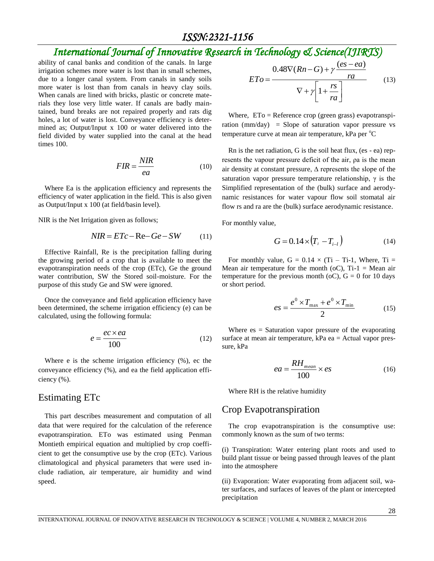# *International Journal of Innovative Research in Technology & Science(IJIRTS)*

ability of canal banks and condition of the canals. In large irrigation schemes more water is lost than in small schemes, due to a longer canal system. From canals in sandy soils more water is lost than from canals in heavy clay soils. When canals are lined with bricks, plastic or concrete materials they lose very little water. If canals are badly maintained, bund breaks are not repaired properly and rats dig holes, a lot of water is lost. Conveyance efficiency is determined as; Output/Input x 100 or water delivered into the field divided by water supplied into the canal at the head times 100.

$$
FIR = \frac{NIR}{ea}
$$
 (10)

Where Ea is the application efficiency and represents the efficiency of water application in the field. This is also given as Output/Input x 100 (at field/basin level).

NIR is the Net Irrigation given as follows;

$$
NIR = ETc - \text{Re} - Ge - SW \tag{11}
$$

Effective Rainfall, Re is the precipitation falling during the growing period of a crop that is available to meet the evapotranspiration needs of the crop (ETc), Ge the ground water contribution, SW the Stored soil-moisture. For the purpose of this study Ge and SW were ignored.

Once the conveyance and field application efficiency have been determined, the scheme irrigation efficiency (e) can be calculated, using the following formula:

$$
e = \frac{ec \times ea}{100} \tag{12}
$$

Where e is the scheme irrigation efficiency (%), ec the conveyance efficiency (%), and ea the field application efficiency (%).

#### Estimating ETc

This part describes measurement and computation of all data that were required for the calculation of the reference evapotranspiration. ETo was estimated using Penman Montieth empirical equation and multiplied by crop coefficient to get the consumptive use by the crop (ETc). Various climatological and physical parameters that were used include radiation, air temperature, air humidity and wind speed.

$$
ETo = \frac{0.48\nabla(Rn - G) + \gamma \frac{(es - ea)}{ra}}{\nabla + \gamma \left[1 + \frac{rs}{ra}\right]}
$$
(13)

Where,  $ETo =$  Reference crop (green grass) evapotranspiration (mm/day) = Slope of saturation vapor pressure vs temperature curve at mean air temperature,  $kPa$  per  $°C$ 

Rn is the net radiation, G is the soil heat flux, (es - ea) represents the vapour pressure deficit of the air, ρa is the mean air density at constant pressure, ∆ represents the slope of the saturation vapor pressure temperature relationship,  $\gamma$  is the Simplified representation of the (bulk) surface and aerodynamic resistances for water vapour flow soil stomatal air flow rs and ra are the (bulk) surface aerodynamic resistance.

For monthly value,

$$
G = 0.14 \times (T_i - T_{i-l})
$$
 (14)

For monthly value,  $G = 0.14 \times (Ti - Ti-1)$ , Where,  $Ti =$ Mean air temperature for the month (oC),  $Ti-1 = Mean$  air temperature for the previous month (oC),  $G = 0$  for 10 days or short period.

$$
es = \frac{e^0 \times T_{\text{max}} + e^0 \times T_{\text{min}}}{2} \tag{15}
$$

Where  $es =$  Saturation vapor pressure of the evaporating surface at mean air temperature, kPa ea = Actual vapor pressure, kPa

$$
ea = \frac{RH_{mean}}{100} \times es \tag{16}
$$

Where RH is the relative humidity

#### Crop Evapotranspiration

The crop evapotranspiration is the consumptive use: commonly known as the sum of two terms:

(i) Transpiration: Water entering plant roots and used to build plant tissue or being passed through leaves of the plant into the atmosphere

(ii) Evaporation: Water evaporating from adjacent soil, water surfaces, and surfaces of leaves of the plant or intercepted precipitation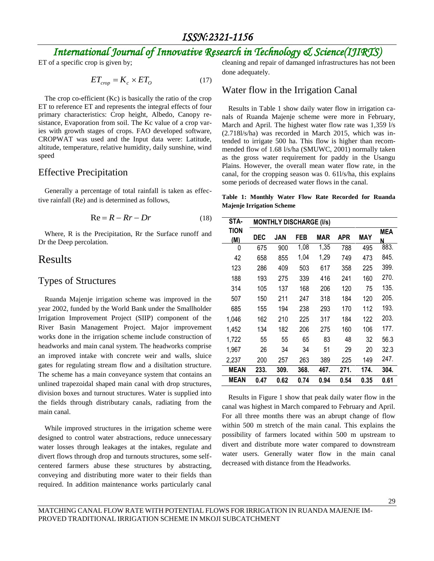# *International Journal of Innovative Research in Technology & Science(IJIRTS)*

ET of a specific crop is given by;

$$
ET_{crop} = K_c \times ET_O \tag{17}
$$

The crop co-efficient (Kc) is basically the ratio of the crop ET to reference ET and represents the integral effects of four primary characteristics: Crop height, Albedo, Canopy resistance, Evaporation from soil. The Kc value of a crop varies with growth stages of crops. FAO developed software, CROPWAT was used and the Input data were: Latitude, altitude, temperature, relative humidity, daily sunshine, wind speed

### Effective Precipitation

Generally a percentage of total rainfall is taken as effective rainfall (Re) and is determined as follows,

$$
Re = R - Rr - Dr \tag{18}
$$

Where, R is the Precipitation, Rr the Surface runoff and Dr the Deep percolation.

## Results

### Types of Structures

Ruanda Majenje irrigation scheme was improved in the year 2002, funded by the World Bank under the Smallholder Irrigation Improvement Project (SIIP) component of the River Basin Management Project. Major improvement works done in the irrigation scheme include construction of headworks and main canal system. The headworks comprise an improved intake with concrete weir and walls, sluice gates for regulating stream flow and a disiltation structure. The scheme has a main conveyance system that contains an unlined trapezoidal shaped main canal with drop structures, division boxes and turnout structures. Water is supplied into the fields through distributary canals, radiating from the main canal.

While improved structures in the irrigation scheme were designed to control water abstractions, reduce unnecessary water losses through leakages at the intakes, regulate and divert flows through drop and turnouts structures, some selfcentered farmers abuse these structures by abstracting, conveying and distributing more water to their fields than required. In addition maintenance works particularly canal cleaning and repair of damanged infrastructures has not been done adequately.

#### Water flow in the Irrigation Canal

Results in Table 1 show daily water flow in irrigation canals of Ruanda Majenje scheme were more in February, March and April. The highest water flow rate was 1,359 l/s (2.718l/s/ha) was recorded in March 2015, which was intended to irrigate 500 ha. This flow is higher than recommended flow of 1.68 l/s/ha (SMUWC, 2001) normally taken as the gross water requirement for paddy in the Usangu Plains. However, the overall mean water flow rate, in the canal, for the cropping season was 0. 61l/s/ha, this explains some periods of decreased water flows in the canal.

**Table 1: Monthly Water Flow Rate Recorded for Ruanda Majenje Irrigation Scheme**

| STA-        | <b>MONTHLY DISCHARGE (I/s)</b> |      |      |      |            |      |      |
|-------------|--------------------------------|------|------|------|------------|------|------|
| TION        |                                |      |      |      |            |      | MEA  |
| (M)         | DEC                            | JAN  | FEB  | MAR  | <b>APR</b> | MAY  | N    |
| 0           | 675                            | 900  | 1,08 | 1,35 | 788        | 495  | 883. |
| 42          | 658                            | 855  | 1,04 | 1,29 | 749        | 473  | 845. |
| 123         | 286                            | 409  | 503  | 617  | 358        | 225  | 399. |
| 188         | 193                            | 275  | 339  | 416  | 241        | 160  | 270. |
| 314         | 105                            | 137  | 168  | 206  | 120        | 75   | 135. |
| 507         | 150                            | 211  | 247  | 318  | 184        | 120  | 205. |
| 685         | 155                            | 194  | 238  | 293  | 170        | 112  | 193. |
| 1,046       | 162                            | 210  | 225  | 317  | 184        | 122  | 203. |
| 1,452       | 134                            | 182  | 206  | 275  | 160        | 106  | 177. |
| 1,722       | 55                             | 55   | 65   | 83   | 48         | 32   | 56.3 |
| 1,967       | 26                             | 34   | 34   | 51   | 29         | 20   | 32.3 |
| 2,237       | 200                            | 257  | 263  | 389  | 225        | 149  | 247. |
| <b>MEAN</b> | 233.                           | 309. | 368. | 467. | 271.       | 174. | 304. |
| <b>MEAN</b> | 0.47                           | 0.62 | 0.74 | 0.94 | 0.54       | 0.35 | 0.61 |

Results in Figure 1 show that peak daily water flow in the canal was highest in March compared to February and April. For all three months there was an abrupt change of flow within 500 m stretch of the main canal. This explains the possibility of farmers located within 500 m upstream to divert and distribute more water compared to downstream water users. Generally water flow in the main canal decreased with distance from the Headworks.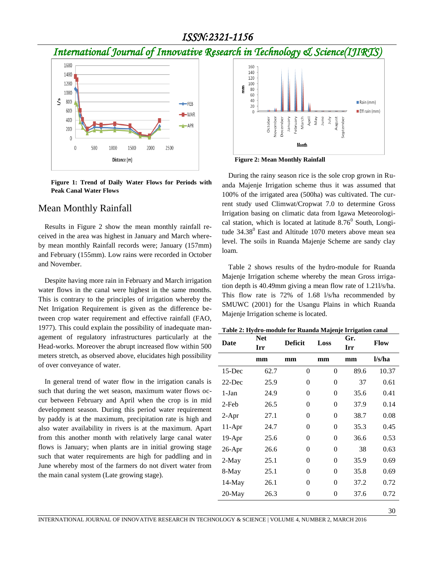# *International Journal of Innovative Research in Technology & Science(IJIRTS)*



**Figure 1: Trend of Daily Water Flows for Periods with Peak Canal Water Flows**

#### Mean Monthly Rainfall

Results in Figure 2 show the mean monthly rainfall received in the area was highest in January and March whereby mean monthly Rainfall records were; January (157mm) and February (155mm). Low rains were recorded in October and November.

Despite having more rain in February and March irrigation water flows in the canal were highest in the same months. This is contrary to the principles of irrigation whereby the Net Irrigation Requirement is given as the difference between crop water requirement and effective rainfall (FAO, 1977). This could explain the possibility of inadequate management of regulatory infrastructures particularly at the Head-works. Moreover the abrupt increased flow within 500 meters stretch, as observed above, elucidates high possibility of over conveyance of water.

In general trend of water flow in the irrigation canals is such that during the wet season, maximum water flows occur between February and April when the crop is in mid development season. During this period water requirement by paddy is at the maximum, precipitation rate is high and also water availability in rivers is at the maximum. Apart from this another month with relatively large canal water flows is January; when plants are in initial growing stage such that water requirements are high for paddling and in June whereby most of the farmers do not divert water from the main canal system (Late growing stage).



**Figure 2: Mean Monthly Rainfall**

During the rainy season rice is the sole crop grown in Ruanda Majenje Irrigation scheme thus it was assumed that 100% of the irrigated area (500ha) was cultivated. The current study used Climwat/Cropwat 7.0 to determine Gross Irrigation basing on climatic data from Igawa Meteorological station, which is located at latitude  $8.76^{\circ}$  South, Longitude  $34.38^{\circ}$  East and Altitude 1070 meters above mean sea level. The soils in Ruanda Majenje Scheme are sandy clay loam.

Table 2 shows results of the hydro-module for Ruanda Majenje Irrigation scheme whereby the mean Gross irrigation depth is 40.49mm giving a mean flow rate of 1.21l/s/ha. This flow rate is 72% of 1.68 l/s/ha recommended by SMUWC (2001) for the Usangu Plains in which Ruanda Majenje Irrigation scheme is located.

**Table 2: Hydro-module for Ruanda Majenje Irrigation canal**

| Date      | <b>Net</b> | <b>Deficit</b> | Loss           | Gr.  | <b>Flow</b> |  |
|-----------|------------|----------------|----------------|------|-------------|--|
|           | Irr        |                |                | Irr  |             |  |
|           | mm         | mm             | mm             | mm   | l/s/ha      |  |
| $15$ -Dec | 62.7       | $\overline{0}$ | $\overline{0}$ | 89.6 | 10.37       |  |
| $22$ -Dec | 25.9       | $\overline{0}$ | 0              | 37   | 0.61        |  |
| $1-Jan$   | 24.9       | $\overline{0}$ | $\overline{0}$ | 35.6 | 0.41        |  |
| 2-Feb     | 26.5       | $\overline{0}$ | 0              | 37.9 | 0.14        |  |
| $2-Apr$   | 27.1       | $\overline{0}$ | $\overline{0}$ | 38.7 | 0.08        |  |
| $11-Apr$  | 24.7       | $\overline{0}$ | 0              | 35.3 | 0.45        |  |
| $19-Apr$  | 25.6       | $\theta$       | 0              | 36.6 | 0.53        |  |
| 26-Apr    | 26.6       | $\overline{0}$ | 0              | 38   | 0.63        |  |
| $2-May$   | 25.1       | $\theta$       | $\overline{0}$ | 35.9 | 0.69        |  |
| 8-May     | 25.1       | $\theta$       | $\overline{0}$ | 35.8 | 0.69        |  |
| $14-May$  | 26.1       | $\overline{0}$ | $\overline{0}$ | 37.2 | 0.72        |  |
| $20$ -May | 26.3       | 0              | $\overline{0}$ | 37.6 | 0.72        |  |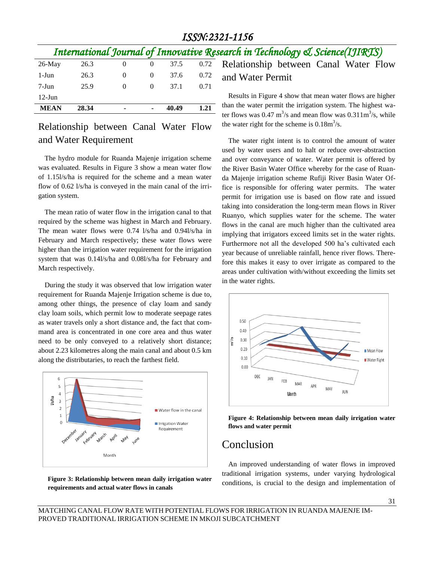|             |       |          |                |       |      | International Journal of Innovative Research in Technology & Science(IJIRTS) |
|-------------|-------|----------|----------------|-------|------|------------------------------------------------------------------------------|
| $26$ -May   | 26.3  | $\theta$ | $\overline{0}$ | 37.5  | 0.72 | Relationship between Canal Water F                                           |
| 1-Jun       | 26.3  | $\theta$ | $\sim 0$       | 37.6  | 0.72 | and Water Permit                                                             |
| $7-Jun$     | 25.9  | $\Omega$ | $\Omega$       | 37.1  | 0.71 |                                                                              |
| $12$ -Jun   |       |          |                |       |      | Results in Figure 4 show that mean water flows are h                         |
| <b>MEAN</b> | 28.34 | ۰        | $\blacksquare$ | 40.49 | 1.21 | than the water permit the irrigation system. The highes                      |

## Relationship between Canal Water Flow and Water Requirement

The hydro module for Ruanda Majenje irrigation scheme was evaluated. Results in Figure 3 show a mean water flow of 1.15l/s/ha is required for the scheme and a mean water flow of 0.62 l/s/ha is conveyed in the main canal of the irrigation system.

The mean ratio of water flow in the irrigation canal to that required by the scheme was highest in March and February. The mean water flows were 0.74 l/s/ha and 0.94l/s/ha in February and March respectively; these water flows were higher than the irrigation water requirement for the irrigation system that was 0.14l/s/ha and 0.08l/s/ha for February and March respectively.

During the study it was observed that low irrigation water requirement for Ruanda Majenje Irrigation scheme is due to, among other things, the presence of clay loam and sandy clay loam soils, which permit low to moderate seepage rates as water travels only a short distance and, the fact that command area is concentrated in one core area and thus water need to be only conveyed to a relatively short distance; about 2.23 kilometres along the main canal and about 0.5 km along the distributaries, to reach the farthest field.



**Figure 3: Relationship between mean daily irrigation water requirements and actual water flows in canals**

Relationship between Canal Water Flow

Results in Figure 4 show that mean water flows are higher than the water permit the irrigation system. The highest water flows was  $0.47 \text{ m}^3$ /s and mean flow was  $0.311 \text{ m}^3$ /s, while the water right for the scheme is  $0.18 \text{m}^3/\text{s}$ .

The water right intent is to control the amount of water used by water users and to halt or reduce over-abstraction and over conveyance of water. Water permit is offered by the River Basin Water Office whereby for the case of Ruanda Majenje irrigation scheme Rufiji River Basin Water Office is responsible for offering water permits. The water permit for irrigation use is based on flow rate and issued taking into consideration the long-term mean flows in River Ruanyo, which supplies water for the scheme. The water flows in the canal are much higher than the cultivated area implying that irrigators exceed limits set in the water rights. Furthermore not all the developed 500 ha's cultivated each year because of unreliable rainfall, hence river flows. Therefore this makes it easy to over irrigate as compared to the areas under cultivation with/without exceeding the limits set in the water rights.



**Figure 4: Relationship between mean daily irrigation water flows and water permit**

# Conclusion

An improved understanding of water flows in improved traditional irrigation systems, under varying hydrological conditions, is crucial to the design and implementation of